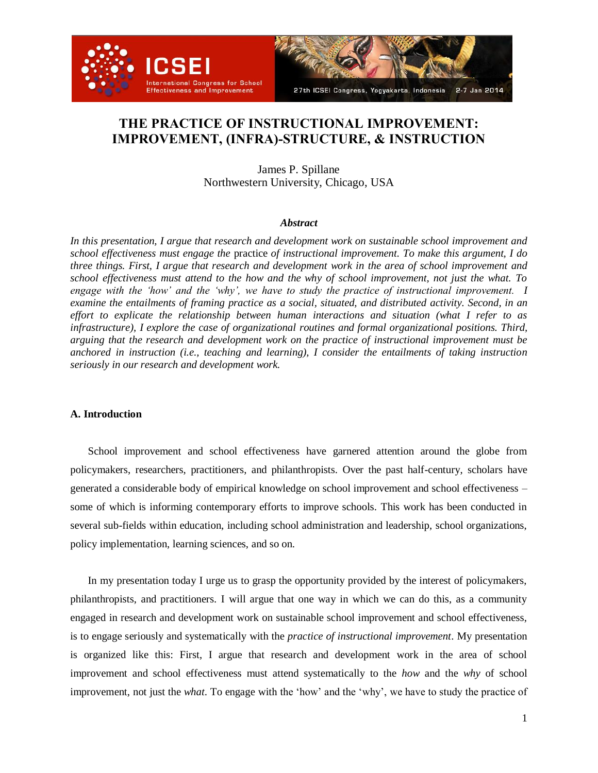



# **THE PRACTICE OF INSTRUCTIONAL IMPROVEMENT: IMPROVEMENT, (INFRA)-STRUCTURE, & INSTRUCTION**

James P. Spillane Northwestern University, Chicago, USA

#### *Abstract*

*In this presentation, I argue that research and development work on sustainable school improvement and school effectiveness must engage the* practice *of instructional improvement. To make this argument, I do three things. First, I argue that research and development work in the area of school improvement and school effectiveness must attend to the how and the why of school improvement, not just the what. To engage with the 'how' and the 'why', we have to study the practice of instructional improvement. I examine the entailments of framing practice as a social, situated, and distributed activity. Second, in an effort to explicate the relationship between human interactions and situation (what I refer to as infrastructure), I explore the case of organizational routines and formal organizational positions. Third, arguing that the research and development work on the practice of instructional improvement must be anchored in instruction (i.e., teaching and learning), I consider the entailments of taking instruction seriously in our research and development work.* 

#### **A. Introduction**

School improvement and school effectiveness have garnered attention around the globe from policymakers, researchers, practitioners, and philanthropists. Over the past half-century, scholars have generated a considerable body of empirical knowledge on school improvement and school effectiveness – some of which is informing contemporary efforts to improve schools. This work has been conducted in several sub-fields within education, including school administration and leadership, school organizations, policy implementation, learning sciences, and so on.

In my presentation today I urge us to grasp the opportunity provided by the interest of policymakers, philanthropists, and practitioners. I will argue that one way in which we can do this, as a community engaged in research and development work on sustainable school improvement and school effectiveness, is to engage seriously and systematically with the *practice of instructional improvement*. My presentation is organized like this: First, I argue that research and development work in the area of school improvement and school effectiveness must attend systematically to the *how* and the *why* of school improvement, not just the *what*. To engage with the 'how' and the 'why', we have to study the practice of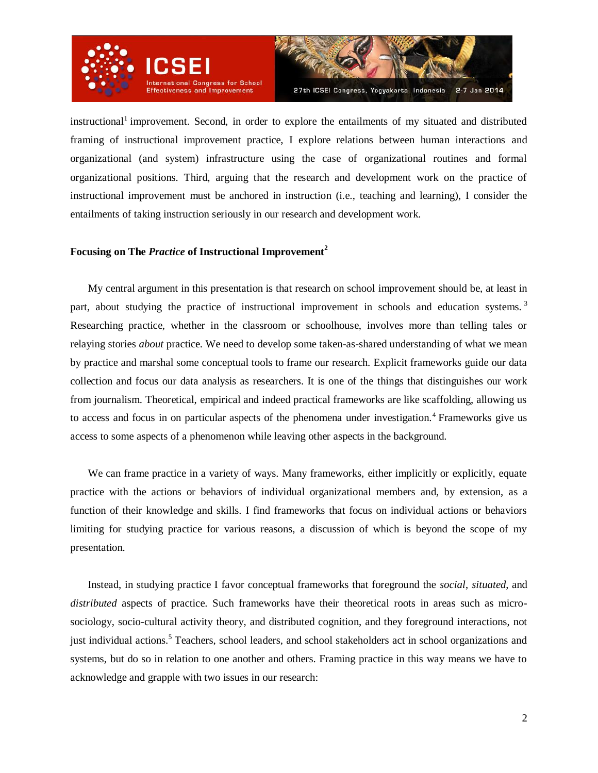

instructional<sup>1</sup> improvement. Second, in order to explore the entailments of my situated and distributed framing of instructional improvement practice, I explore relations between human interactions and organizational (and system) infrastructure using the case of organizational routines and formal organizational positions. Third, arguing that the research and development work on the practice of instructional improvement must be anchored in instruction (i.e., teaching and learning), I consider the entailments of taking instruction seriously in our research and development work.

## **Focusing on The** *Practice* **of Instructional Improvement<sup>2</sup>**

My central argument in this presentation is that research on school improvement should be, at least in part, about studying the practice of instructional improvement in schools and education systems.<sup>3</sup> Researching practice, whether in the classroom or schoolhouse, involves more than telling tales or relaying stories *about* practice. We need to develop some taken-as-shared understanding of what we mean by practice and marshal some conceptual tools to frame our research. Explicit frameworks guide our data collection and focus our data analysis as researchers. It is one of the things that distinguishes our work from journalism. Theoretical, empirical and indeed practical frameworks are like scaffolding, allowing us to access and focus in on particular aspects of the phenomena under investigation.<sup>4</sup> Frameworks give us access to some aspects of a phenomenon while leaving other aspects in the background.

We can frame practice in a variety of ways. Many frameworks, either implicitly or explicitly, equate practice with the actions or behaviors of individual organizational members and, by extension, as a function of their knowledge and skills. I find frameworks that focus on individual actions or behaviors limiting for studying practice for various reasons, a discussion of which is beyond the scope of my presentation.

Instead, in studying practice I favor conceptual frameworks that foreground the *social*, *situated*, and *distributed* aspects of practice. Such frameworks have their theoretical roots in areas such as microsociology, socio-cultural activity theory, and distributed cognition, and they foreground interactions, not just individual actions.<sup>5</sup> Teachers, school leaders, and school stakeholders act in school organizations and systems, but do so in relation to one another and others. Framing practice in this way means we have to acknowledge and grapple with two issues in our research: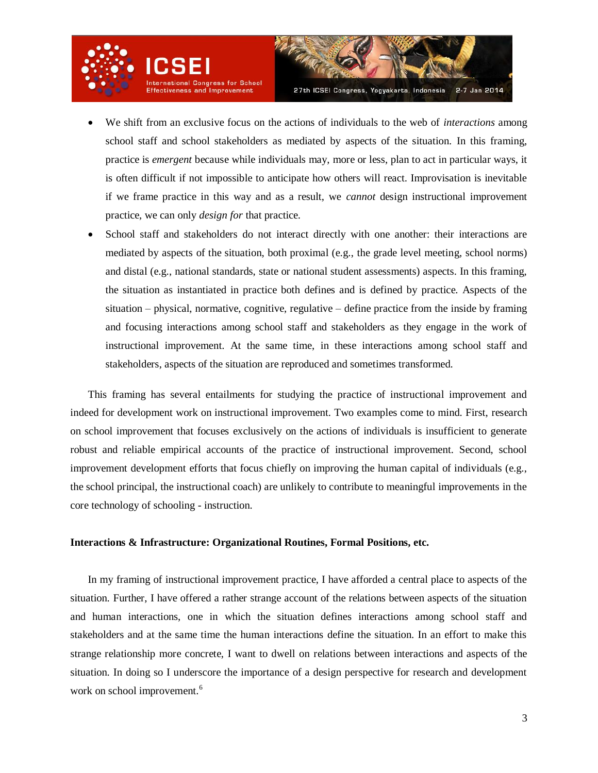

- We shift from an exclusive focus on the actions of individuals to the web of *interactions* among school staff and school stakeholders as mediated by aspects of the situation. In this framing, practice is *emergent* because while individuals may, more or less, plan to act in particular ways, it is often difficult if not impossible to anticipate how others will react. Improvisation is inevitable if we frame practice in this way and as a result, we *cannot* design instructional improvement practice, we can only *design for* that practice.
- School staff and stakeholders do not interact directly with one another: their interactions are mediated by aspects of the situation, both proximal (e.g., the grade level meeting, school norms) and distal (e.g., national standards, state or national student assessments) aspects. In this framing, the situation as instantiated in practice both defines and is defined by practice. Aspects of the situation – physical, normative, cognitive, regulative – define practice from the inside by framing and focusing interactions among school staff and stakeholders as they engage in the work of instructional improvement. At the same time, in these interactions among school staff and stakeholders, aspects of the situation are reproduced and sometimes transformed.

This framing has several entailments for studying the practice of instructional improvement and indeed for development work on instructional improvement. Two examples come to mind. First, research on school improvement that focuses exclusively on the actions of individuals is insufficient to generate robust and reliable empirical accounts of the practice of instructional improvement. Second, school improvement development efforts that focus chiefly on improving the human capital of individuals (e.g., the school principal, the instructional coach) are unlikely to contribute to meaningful improvements in the core technology of schooling - instruction.

#### **Interactions & Infrastructure: Organizational Routines, Formal Positions, etc.**

In my framing of instructional improvement practice, I have afforded a central place to aspects of the situation. Further, I have offered a rather strange account of the relations between aspects of the situation and human interactions, one in which the situation defines interactions among school staff and stakeholders and at the same time the human interactions define the situation. In an effort to make this strange relationship more concrete, I want to dwell on relations between interactions and aspects of the situation. In doing so I underscore the importance of a design perspective for research and development work on school improvement.<sup>6</sup>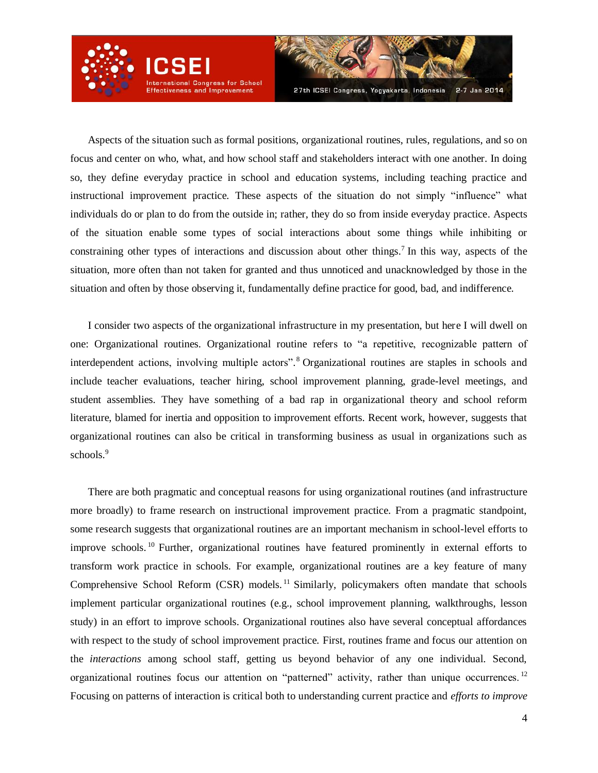

Aspects of the situation such as formal positions, organizational routines, rules, regulations, and so on focus and center on who, what, and how school staff and stakeholders interact with one another. In doing so, they define everyday practice in school and education systems, including teaching practice and instructional improvement practice. These aspects of the situation do not simply "influence" what individuals do or plan to do from the outside in; rather, they do so from inside everyday practice. Aspects of the situation enable some types of social interactions about some things while inhibiting or constraining other types of interactions and discussion about other things.<sup>7</sup> In this way, aspects of the situation, more often than not taken for granted and thus unnoticed and unacknowledged by those in the situation and often by those observing it, fundamentally define practice for good, bad, and indifference.

I consider two aspects of the organizational infrastructure in my presentation, but here I will dwell on one: Organizational routines. Organizational routine refers to "a repetitive, recognizable pattern of interdependent actions, involving multiple actors". <sup>8</sup> Organizational routines are staples in schools and include teacher evaluations, teacher hiring, school improvement planning, grade-level meetings, and student assemblies. They have something of a bad rap in organizational theory and school reform literature, blamed for inertia and opposition to improvement efforts. Recent work, however, suggests that organizational routines can also be critical in transforming business as usual in organizations such as schools.<sup>9</sup>

There are both pragmatic and conceptual reasons for using organizational routines (and infrastructure more broadly) to frame research on instructional improvement practice. From a pragmatic standpoint, some research suggests that organizational routines are an important mechanism in school-level efforts to improve schools. <sup>10</sup> Further, organizational routines have featured prominently in external efforts to transform work practice in schools. For example, organizational routines are a key feature of many Comprehensive School Reform (CSR) models.<sup>11</sup> Similarly, policymakers often mandate that schools implement particular organizational routines (e.g., school improvement planning, walkthroughs, lesson study) in an effort to improve schools. Organizational routines also have several conceptual affordances with respect to the study of school improvement practice. First, routines frame and focus our attention on the *interactions* among school staff, getting us beyond behavior of any one individual. Second, organizational routines focus our attention on "patterned" activity, rather than unique occurrences. <sup>12</sup> Focusing on patterns of interaction is critical both to understanding current practice and *efforts to improve*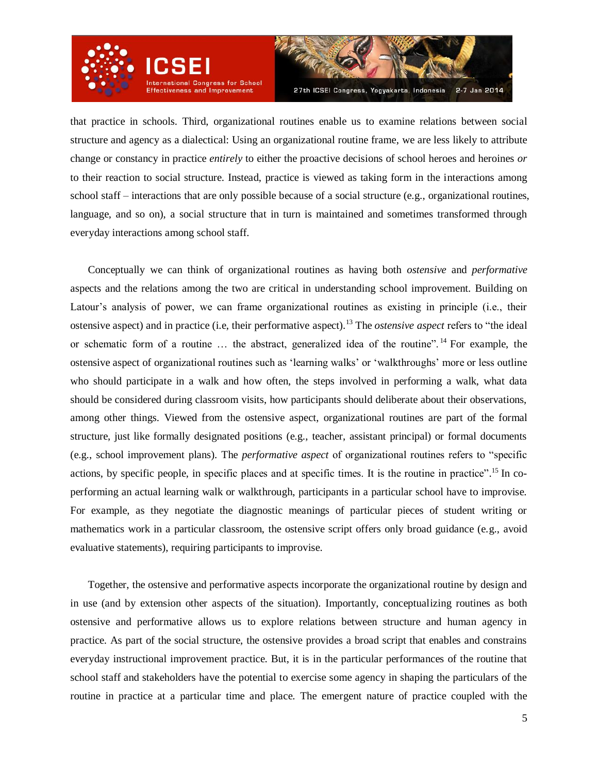

that practice in schools. Third, organizational routines enable us to examine relations between social structure and agency as a dialectical: Using an organizational routine frame, we are less likely to attribute change or constancy in practice *entirely* to either the proactive decisions of school heroes and heroines *or* to their reaction to social structure. Instead, practice is viewed as taking form in the interactions among school staff – interactions that are only possible because of a social structure (e.g., organizational routines, language, and so on), a social structure that in turn is maintained and sometimes transformed through everyday interactions among school staff.

Conceptually we can think of organizational routines as having both *ostensive* and *performative* aspects and the relations among the two are critical in understanding school improvement. Building on Latour's analysis of power, we can frame organizational routines as existing in principle (i.e., their ostensive aspect) and in practice (i.e, their performative aspect).<sup>13</sup> The *ostensive aspect* refers to "the ideal or schematic form of a routine … the abstract, generalized idea of the routine". <sup>14</sup> For example, the ostensive aspect of organizational routines such as 'learning walks' or 'walkthroughs' more or less outline who should participate in a walk and how often, the steps involved in performing a walk, what data should be considered during classroom visits, how participants should deliberate about their observations, among other things. Viewed from the ostensive aspect, organizational routines are part of the formal structure, just like formally designated positions (e.g., teacher, assistant principal) or formal documents (e.g., school improvement plans). The *performative aspect* of organizational routines refers to "specific actions, by specific people, in specific places and at specific times. It is the routine in practice".<sup>15</sup> In coperforming an actual learning walk or walkthrough, participants in a particular school have to improvise. For example, as they negotiate the diagnostic meanings of particular pieces of student writing or mathematics work in a particular classroom, the ostensive script offers only broad guidance (e.g., avoid evaluative statements), requiring participants to improvise.

Together, the ostensive and performative aspects incorporate the organizational routine by design and in use (and by extension other aspects of the situation). Importantly, conceptualizing routines as both ostensive and performative allows us to explore relations between structure and human agency in practice. As part of the social structure, the ostensive provides a broad script that enables and constrains everyday instructional improvement practice. But, it is in the particular performances of the routine that school staff and stakeholders have the potential to exercise some agency in shaping the particulars of the routine in practice at a particular time and place. The emergent nature of practice coupled with the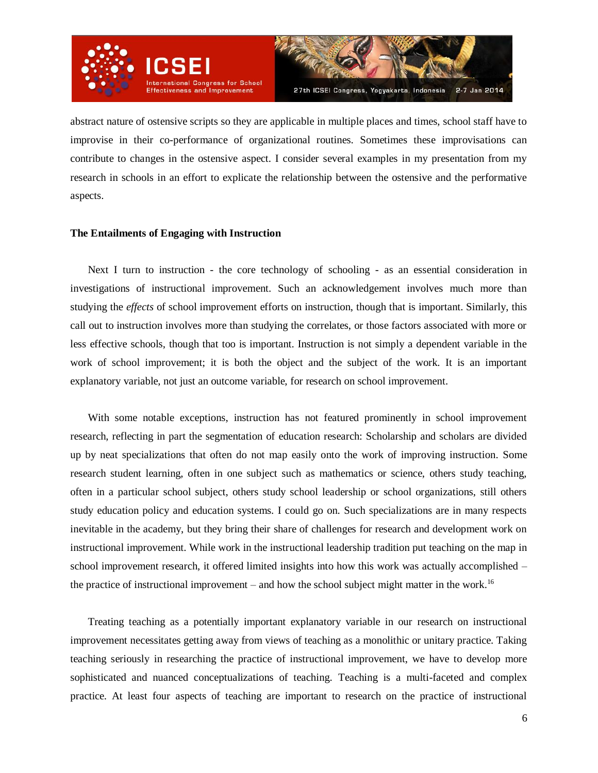

abstract nature of ostensive scripts so they are applicable in multiple places and times, school staff have to improvise in their co-performance of organizational routines. Sometimes these improvisations can contribute to changes in the ostensive aspect. I consider several examples in my presentation from my research in schools in an effort to explicate the relationship between the ostensive and the performative aspects.

## **The Entailments of Engaging with Instruction**

Next I turn to instruction - the core technology of schooling - as an essential consideration in investigations of instructional improvement. Such an acknowledgement involves much more than studying the *effects* of school improvement efforts on instruction, though that is important. Similarly, this call out to instruction involves more than studying the correlates, or those factors associated with more or less effective schools, though that too is important. Instruction is not simply a dependent variable in the work of school improvement; it is both the object and the subject of the work. It is an important explanatory variable, not just an outcome variable, for research on school improvement.

With some notable exceptions, instruction has not featured prominently in school improvement research, reflecting in part the segmentation of education research: Scholarship and scholars are divided up by neat specializations that often do not map easily onto the work of improving instruction. Some research student learning, often in one subject such as mathematics or science, others study teaching, often in a particular school subject, others study school leadership or school organizations, still others study education policy and education systems. I could go on. Such specializations are in many respects inevitable in the academy, but they bring their share of challenges for research and development work on instructional improvement. While work in the instructional leadership tradition put teaching on the map in school improvement research, it offered limited insights into how this work was actually accomplished – the practice of instructional improvement – and how the school subject might matter in the work.<sup>16</sup>

Treating teaching as a potentially important explanatory variable in our research on instructional improvement necessitates getting away from views of teaching as a monolithic or unitary practice. Taking teaching seriously in researching the practice of instructional improvement, we have to develop more sophisticated and nuanced conceptualizations of teaching. Teaching is a multi-faceted and complex practice. At least four aspects of teaching are important to research on the practice of instructional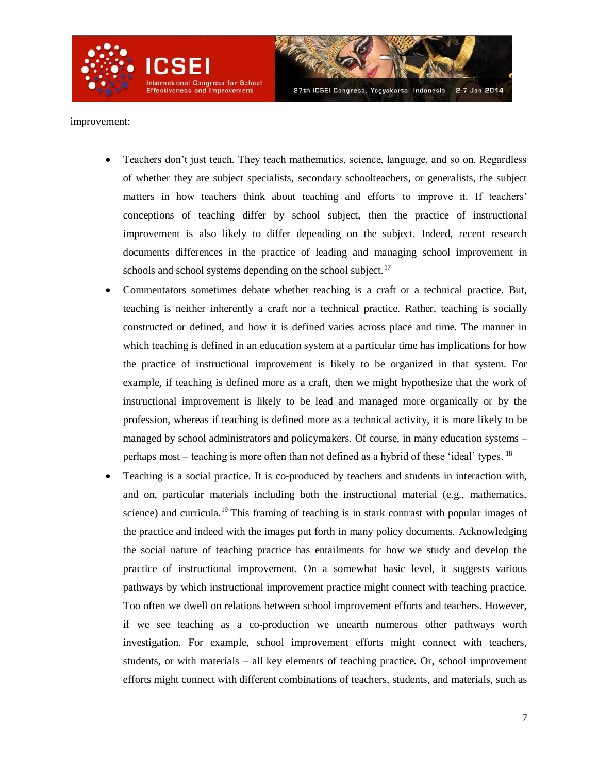

improvement:

- Teachers don't just teach. They teach mathematics, science, language, and so on. Regardless of whether they are subject specialists, secondary schoolteachers, or generalists, the subject matters in how teachers think about teaching and efforts to improve it. If teachers' conceptions of teaching differ by school subject, then the practice of instructional improvement is also likely to differ depending on the subject. Indeed, recent research documents differences in the practice of leading and managing school improvement in schools and school systems depending on the school subject. $17$
- Commentators sometimes debate whether teaching is a craft or a technical practice. But, teaching is neither inherently a craft nor a technical practice. Rather, teaching is socially constructed or defined, and how it is defined varies across place and time. The manner in which teaching is defined in an education system at a particular time has implications for how the practice of instructional improvement is likely to be organized in that system. For example, if teaching is defined more as a craft, then we might hypothesize that the work of instructional improvement is likely to be lead and managed more organically or by the profession, whereas if teaching is defined more as a technical activity, it is more likely to be managed by school administrators and policymakers. Of course, in many education systems – perhaps most – teaching is more often than not defined as a hybrid of these 'ideal' types.  $^{18}$
- Teaching is a social practice. It is co-produced by teachers and students in interaction with, and on, particular materials including both the instructional material (e.g., mathematics, science) and curricula.<sup>19</sup> This framing of teaching is in stark contrast with popular images of the practice and indeed with the images put forth in many policy documents. Acknowledging the social nature of teaching practice has entailments for how we study and develop the practice of instructional improvement. On a somewhat basic level, it suggests various pathways by which instructional improvement practice might connect with teaching practice. Too often we dwell on relations between school improvement efforts and teachers. However, if we see teaching as a co-production we unearth numerous other pathways worth investigation. For example, school improvement efforts might connect with teachers, students, or with materials – all key elements of teaching practice. Or, school improvement efforts might connect with different combinations of teachers, students, and materials, such as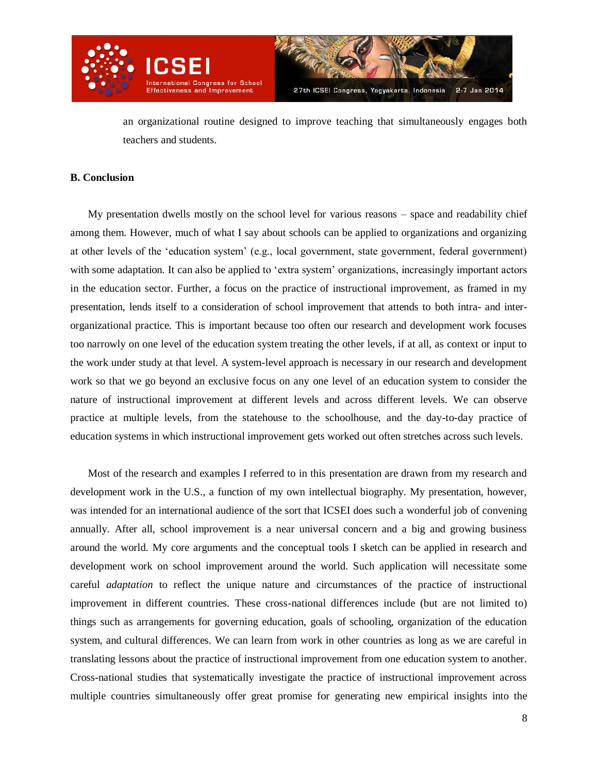

an organizational routine designed to improve teaching that simultaneously engages both teachers and students.

# **B. Conclusion**

My presentation dwells mostly on the school level for various reasons – space and readability chief among them. However, much of what I say about schools can be applied to organizations and organizing at other levels of the 'education system' (e.g., local government, state government, federal government) with some adaptation. It can also be applied to 'extra system' organizations, increasingly important actors in the education sector. Further, a focus on the practice of instructional improvement, as framed in my presentation, lends itself to a consideration of school improvement that attends to both intra- and interorganizational practice. This is important because too often our research and development work focuses too narrowly on one level of the education system treating the other levels, if at all, as context or input to the work under study at that level. A system-level approach is necessary in our research and development work so that we go beyond an exclusive focus on any one level of an education system to consider the nature of instructional improvement at different levels and across different levels. We can observe practice at multiple levels, from the statehouse to the schoolhouse, and the day-to-day practice of education systems in which instructional improvement gets worked out often stretches across such levels.

Most of the research and examples I referred to in this presentation are drawn from my research and development work in the U.S., a function of my own intellectual biography. My presentation, however, was intended for an international audience of the sort that ICSEI does such a wonderful job of convening annually. After all, school improvement is a near universal concern and a big and growing business around the world. My core arguments and the conceptual tools I sketch can be applied in research and development work on school improvement around the world. Such application will necessitate some careful *adaptation* to reflect the unique nature and circumstances of the practice of instructional improvement in different countries. These cross-national differences include (but are not limited to) things such as arrangements for governing education, goals of schooling, organization of the education system, and cultural differences. We can learn from work in other countries as long as we are careful in translating lessons about the practice of instructional improvement from one education system to another. Cross-national studies that systematically investigate the practice of instructional improvement across multiple countries simultaneously offer great promise for generating new empirical insights into the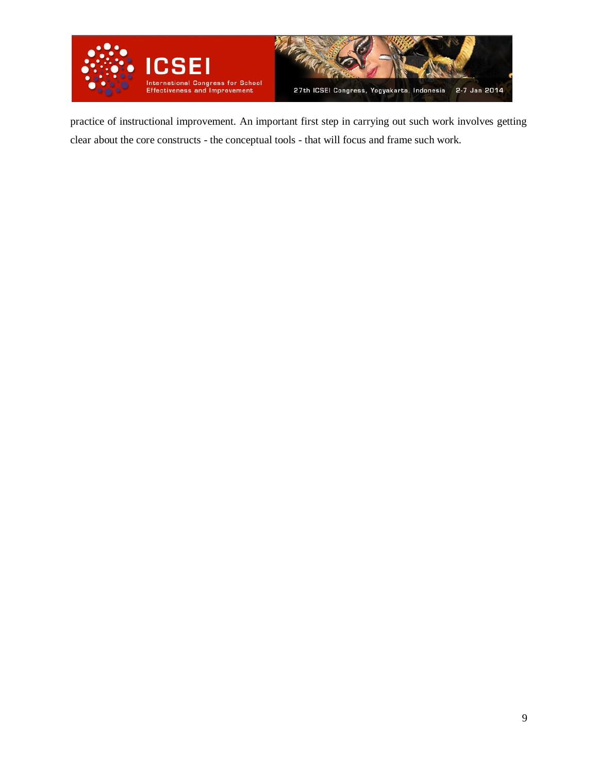

practice of instructional improvement. An important first step in carrying out such work involves getting clear about the core constructs - the conceptual tools - that will focus and frame such work.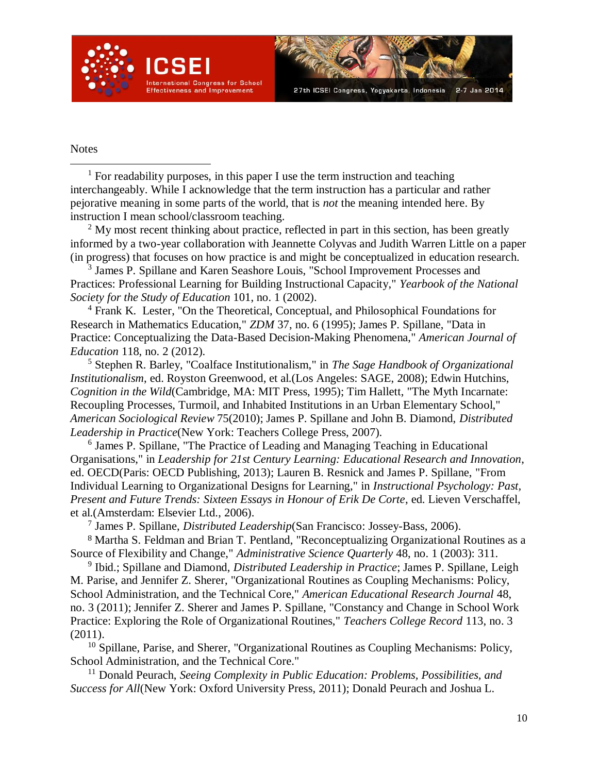

### Notes

l

<sup>1</sup> For readability purposes, in this paper I use the term instruction and teaching interchangeably. While I acknowledge that the term instruction has a particular and rather pejorative meaning in some parts of the world, that is *not* the meaning intended here. By instruction I mean school/classroom teaching.

 $2$  My most recent thinking about practice, reflected in part in this section, has been greatly informed by a two-year collaboration with Jeannette Colyvas and Judith Warren Little on a paper (in progress) that focuses on how practice is and might be conceptualized in education research.

<sup>3</sup> James P. Spillane and Karen Seashore Louis, "School Improvement Processes and Practices: Professional Learning for Building Instructional Capacity," *Yearbook of the National Society for the Study of Education* 101, no. 1 (2002).

<sup>4</sup> Frank K. Lester, "On the Theoretical, Conceptual, and Philosophical Foundations for Research in Mathematics Education," *ZDM* 37, no. 6 (1995); James P. Spillane, "Data in Practice: Conceptualizing the Data-Based Decision-Making Phenomena," *American Journal of Education* 118, no. 2 (2012).

<sup>5</sup> Stephen R. Barley, "Coalface Institutionalism," in *The Sage Handbook of Organizational Institutionalism*, ed. Royston Greenwood, et al.(Los Angeles: SAGE, 2008); Edwin Hutchins, *Cognition in the Wild*(Cambridge, MA: MIT Press, 1995); Tim Hallett, "The Myth Incarnate: Recoupling Processes, Turmoil, and Inhabited Institutions in an Urban Elementary School," *American Sociological Review* 75(2010); James P. Spillane and John B. Diamond, *Distributed Leadership in Practice*(New York: Teachers College Press, 2007).

6 James P. Spillane, "The Practice of Leading and Managing Teaching in Educational Organisations," in *Leadership for 21st Century Learning: Educational Research and Innovation*, ed. OECD(Paris: OECD Publishing, 2013); Lauren B. Resnick and James P. Spillane, "From Individual Learning to Organizational Designs for Learning," in *Instructional Psychology: Past, Present and Future Trends: Sixteen Essays in Honour of Erik De Corte*, ed. Lieven Verschaffel, et al.(Amsterdam: Elsevier Ltd., 2006).

7 James P. Spillane, *Distributed Leadership*(San Francisco: Jossey-Bass, 2006).

<sup>8</sup> Martha S. Feldman and Brian T. Pentland, "Reconceptualizing Organizational Routines as a Source of Flexibility and Change," *Administrative Science Quarterly* 48, no. 1 (2003): 311.

<sup>9</sup> Ibid.; Spillane and Diamond, *Distributed Leadership in Practice*; James P. Spillane, Leigh M. Parise, and Jennifer Z. Sherer, "Organizational Routines as Coupling Mechanisms: Policy, School Administration, and the Technical Core," *American Educational Research Journal* 48, no. 3 (2011); Jennifer Z. Sherer and James P. Spillane, "Constancy and Change in School Work Practice: Exploring the Role of Organizational Routines," *Teachers College Record* 113, no. 3 (2011).

 $10$  Spillane, Parise, and Sherer, "Organizational Routines as Coupling Mechanisms: Policy, School Administration, and the Technical Core."

<sup>11</sup> Donald Peurach, *Seeing Complexity in Public Education: Problems, Possibilities, and Success for All*(New York: Oxford University Press, 2011); Donald Peurach and Joshua L.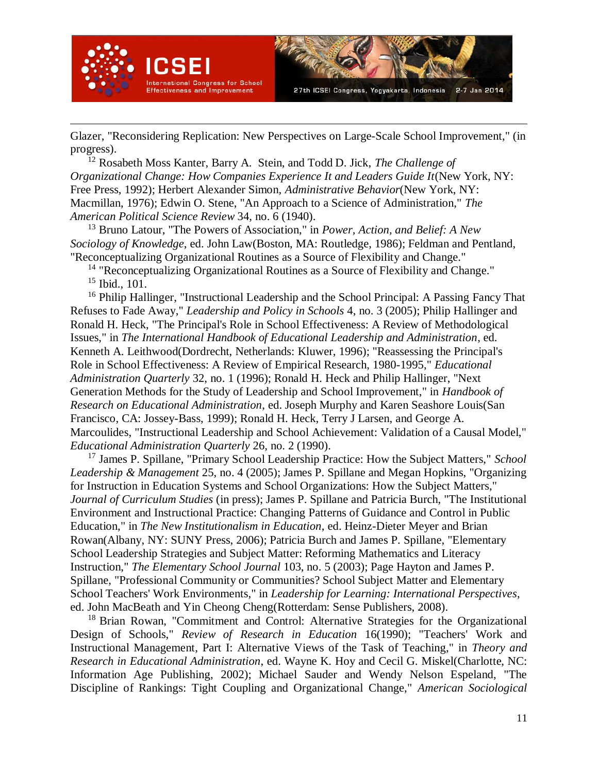

 $\overline{a}$ 



Glazer, "Reconsidering Replication: New Perspectives on Large-Scale School Improvement," (in progress).

<sup>12</sup> Rosabeth Moss Kanter, Barry A. Stein, and Todd D. Jick, *The Challenge of Organizational Change: How Companies Experience It and Leaders Guide It*(New York, NY: Free Press, 1992); Herbert Alexander Simon, *Administrative Behavior*(New York, NY: Macmillan, 1976); Edwin O. Stene, "An Approach to a Science of Administration," *The American Political Science Review* 34, no. 6 (1940).

<sup>13</sup> Bruno Latour, "The Powers of Association," in *Power, Action, and Belief: A New Sociology of Knowledge*, ed. John Law(Boston, MA: Routledge, 1986); Feldman and Pentland, "Reconceptualizing Organizational Routines as a Source of Flexibility and Change."

 $14$  "Reconceptualizing Organizational Routines as a Source of Flexibility and Change."  $15$  Ibid., 101.

<sup>16</sup> Philip Hallinger, "Instructional Leadership and the School Principal: A Passing Fancy That Refuses to Fade Away," *Leadership and Policy in Schools* 4, no. 3 (2005); Philip Hallinger and Ronald H. Heck, "The Principal's Role in School Effectiveness: A Review of Methodological Issues," in *The International Handbook of Educational Leadership and Administration*, ed. Kenneth A. Leithwood(Dordrecht, Netherlands: Kluwer, 1996); "Reassessing the Principal's Role in School Effectiveness: A Review of Empirical Research, 1980-1995," *Educational Administration Quarterly* 32, no. 1 (1996); Ronald H. Heck and Philip Hallinger, "Next Generation Methods for the Study of Leadership and School Improvement," in *Handbook of Research on Educational Administration*, ed. Joseph Murphy and Karen Seashore Louis(San Francisco, CA: Jossey-Bass, 1999); Ronald H. Heck, Terry J Larsen, and George A. Marcoulides, "Instructional Leadership and School Achievement: Validation of a Causal Model," *Educational Administration Quarterly* 26, no. 2 (1990).

<sup>17</sup> James P. Spillane, "Primary School Leadership Practice: How the Subject Matters," *School Leadership & Management* 25, no. 4 (2005); James P. Spillane and Megan Hopkins, "Organizing for Instruction in Education Systems and School Organizations: How the Subject Matters," *Journal of Curriculum Studies* (in press); James P. Spillane and Patricia Burch, "The Institutional Environment and Instructional Practice: Changing Patterns of Guidance and Control in Public Education," in *The New Institutionalism in Education*, ed. Heinz-Dieter Meyer and Brian Rowan(Albany, NY: SUNY Press, 2006); Patricia Burch and James P. Spillane, "Elementary School Leadership Strategies and Subject Matter: Reforming Mathematics and Literacy Instruction," *The Elementary School Journal* 103, no. 5 (2003); Page Hayton and James P. Spillane, "Professional Community or Communities? School Subject Matter and Elementary School Teachers' Work Environments," in *Leadership for Learning: International Perspectives*, ed. John MacBeath and Yin Cheong Cheng(Rotterdam: Sense Publishers, 2008).

<sup>18</sup> Brian Rowan, "Commitment and Control: Alternative Strategies for the Organizational Design of Schools," *Review of Research in Education* 16(1990); "Teachers' Work and Instructional Management, Part I: Alternative Views of the Task of Teaching," in *Theory and Research in Educational Administration*, ed. Wayne K. Hoy and Cecil G. Miskel(Charlotte, NC: Information Age Publishing, 2002); Michael Sauder and Wendy Nelson Espeland, "The Discipline of Rankings: Tight Coupling and Organizational Change," *American Sociological*